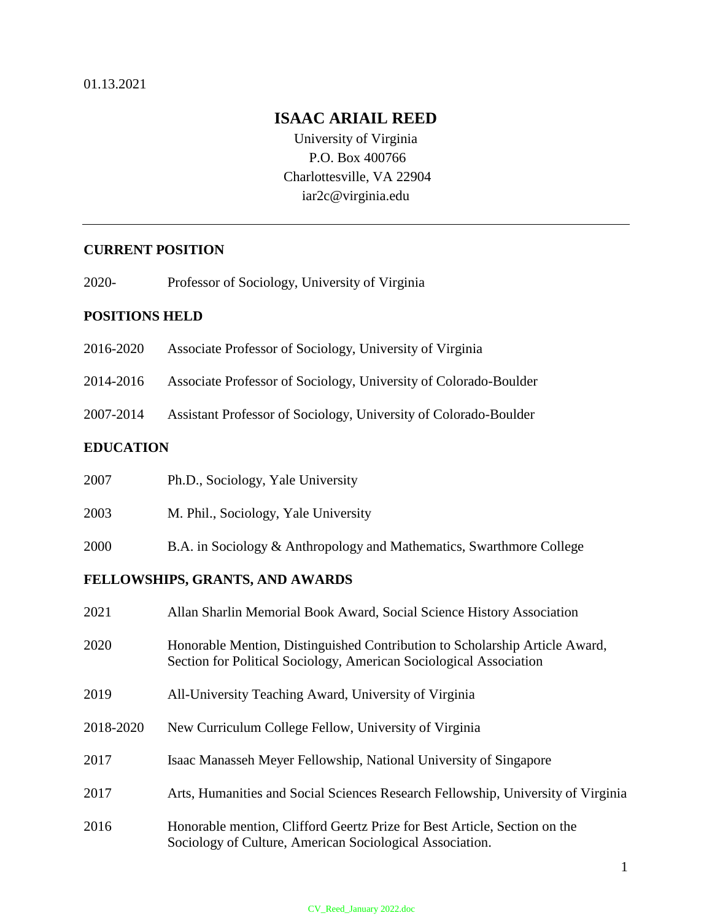## **ISAAC ARIAIL REED**

University of Virginia P.O. Box 400766 Charlottesville, VA 22904 iar2c@virginia.edu

## **CURRENT POSITION**

2020- Professor of Sociology, University of Virginia

## **POSITIONS HELD**

2016-2020 Associate Professor of Sociology, University of Virginia

2014-2016 Associate Professor of Sociology, University of Colorado-Boulder

2007-2014 Assistant Professor of Sociology, University of Colorado-Boulder

## **EDUCATION**

| 2007                            | Ph.D., Sociology, Yale University                                                                                                                 |  |
|---------------------------------|---------------------------------------------------------------------------------------------------------------------------------------------------|--|
| 2003                            | M. Phil., Sociology, Yale University                                                                                                              |  |
| 2000                            | B.A. in Sociology & Anthropology and Mathematics, Swarthmore College                                                                              |  |
| FELLOWSHIPS, GRANTS, AND AWARDS |                                                                                                                                                   |  |
| 2021                            | Allan Sharlin Memorial Book Award, Social Science History Association                                                                             |  |
| 2020                            | Honorable Mention, Distinguished Contribution to Scholarship Article Award,<br>Section for Political Sociology, American Sociological Association |  |
| 2019                            | All-University Teaching Award, University of Virginia                                                                                             |  |
| 2018-2020                       | New Curriculum College Fellow, University of Virginia                                                                                             |  |
| 2017                            | Isaac Manasseh Meyer Fellowship, National University of Singapore                                                                                 |  |
| 2017                            | Arts, Humanities and Social Sciences Research Fellowship, University of Virginia                                                                  |  |
|                                 |                                                                                                                                                   |  |

2016 Honorable mention, Clifford Geertz Prize for Best Article, Section on the Sociology of Culture, American Sociological Association.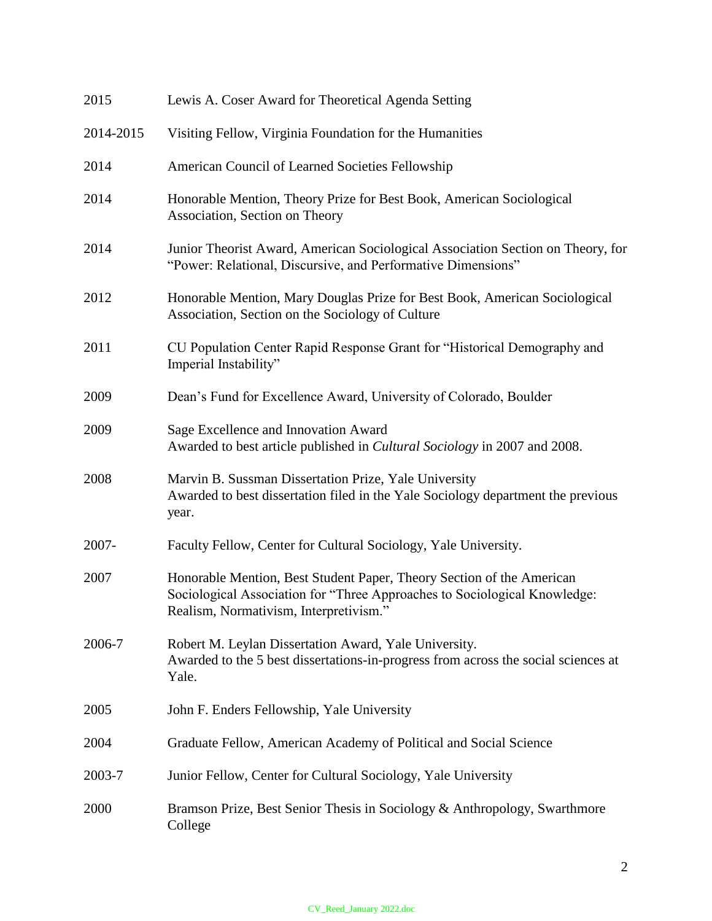| 2015      | Lewis A. Coser Award for Theoretical Agenda Setting                                                                                                                                          |
|-----------|----------------------------------------------------------------------------------------------------------------------------------------------------------------------------------------------|
| 2014-2015 | Visiting Fellow, Virginia Foundation for the Humanities                                                                                                                                      |
| 2014      | American Council of Learned Societies Fellowship                                                                                                                                             |
| 2014      | Honorable Mention, Theory Prize for Best Book, American Sociological<br>Association, Section on Theory                                                                                       |
| 2014      | Junior Theorist Award, American Sociological Association Section on Theory, for<br>"Power: Relational, Discursive, and Performative Dimensions"                                              |
| 2012      | Honorable Mention, Mary Douglas Prize for Best Book, American Sociological<br>Association, Section on the Sociology of Culture                                                               |
| 2011      | CU Population Center Rapid Response Grant for "Historical Demography and<br>Imperial Instability"                                                                                            |
| 2009      | Dean's Fund for Excellence Award, University of Colorado, Boulder                                                                                                                            |
| 2009      | Sage Excellence and Innovation Award<br>Awarded to best article published in <i>Cultural Sociology</i> in 2007 and 2008.                                                                     |
| 2008      | Marvin B. Sussman Dissertation Prize, Yale University<br>Awarded to best dissertation filed in the Yale Sociology department the previous<br>year.                                           |
| 2007-     | Faculty Fellow, Center for Cultural Sociology, Yale University.                                                                                                                              |
| 2007      | Honorable Mention, Best Student Paper, Theory Section of the American<br>Sociological Association for "Three Approaches to Sociological Knowledge:<br>Realism, Normativism, Interpretivism." |
| 2006-7    | Robert M. Leylan Dissertation Award, Yale University.<br>Awarded to the 5 best dissertations-in-progress from across the social sciences at<br>Yale.                                         |
| 2005      | John F. Enders Fellowship, Yale University                                                                                                                                                   |
| 2004      | Graduate Fellow, American Academy of Political and Social Science                                                                                                                            |
| 2003-7    | Junior Fellow, Center for Cultural Sociology, Yale University                                                                                                                                |
| 2000      | Bramson Prize, Best Senior Thesis in Sociology & Anthropology, Swarthmore<br>College                                                                                                         |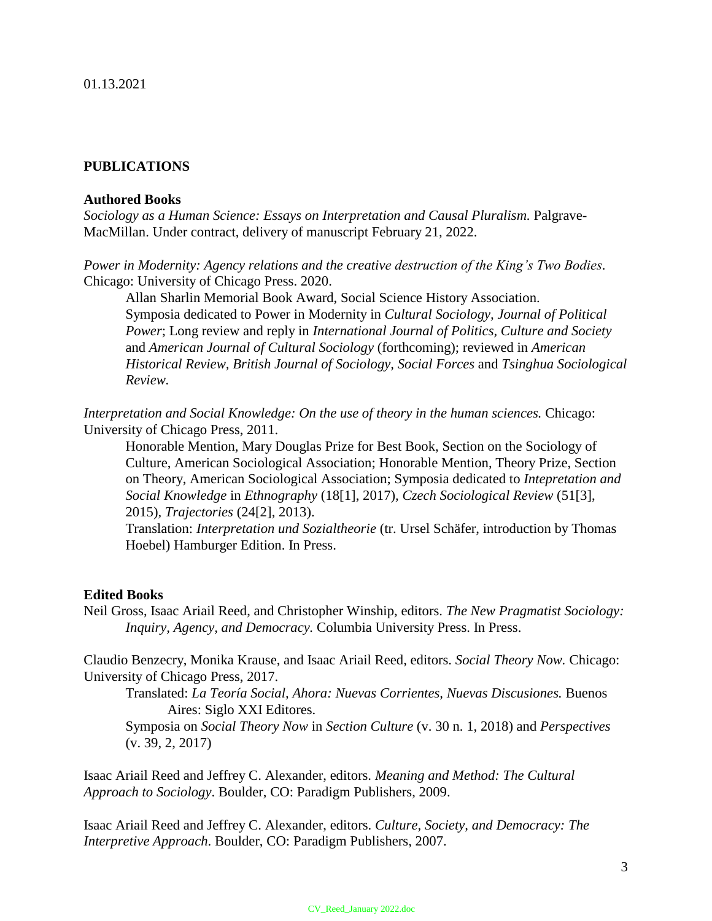## **PUBLICATIONS**

### **Authored Books**

*Sociology as a Human Science: Essays on Interpretation and Causal Pluralism.* Palgrave-MacMillan. Under contract, delivery of manuscript February 21, 2022.

*Power in Modernity: Agency relations and the creative destruction of the King's Two Bodies.*  Chicago: University of Chicago Press. 2020.

Allan Sharlin Memorial Book Award, Social Science History Association. Symposia dedicated to Power in Modernity in *Cultural Sociology, Journal of Political Power*; Long review and reply in *International Journal of Politics, Culture and Society* and *American Journal of Cultural Sociology* (forthcoming); reviewed in *American Historical Review, British Journal of Sociology, Social Forces* and *Tsinghua Sociological Review.*

*Interpretation and Social Knowledge: On the use of theory in the human sciences.* Chicago: University of Chicago Press, 2011.

Honorable Mention, Mary Douglas Prize for Best Book, Section on the Sociology of Culture, American Sociological Association; Honorable Mention, Theory Prize, Section on Theory, American Sociological Association; Symposia dedicated to *Intepretation and Social Knowledge* in *Ethnography* (18[1], 2017)*, Czech Sociological Review* (51[3], 2015)*, Trajectories* (24[2], 2013).

Translation: *Interpretation und Sozialtheorie* (tr. Ursel Schäfer, introduction by Thomas Hoebel) Hamburger Edition. In Press.

## **Edited Books**

Neil Gross, Isaac Ariail Reed, and Christopher Winship, editors. *The New Pragmatist Sociology: Inquiry, Agency, and Democracy.* Columbia University Press. In Press.

Claudio Benzecry, Monika Krause, and Isaac Ariail Reed, editors. *Social Theory Now.* Chicago: University of Chicago Press, 2017.

Translated: *La Teoría Social, Ahora: Nuevas Corrientes, Nuevas Discusiones.* Buenos Aires: Siglo XXI Editores.

Symposia on *Social Theory Now* in *Section Culture* (v. 30 n. 1, 2018) and *Perspectives*  (v. 39, 2, 2017)

Isaac Ariail Reed and Jeffrey C. Alexander, editors. *Meaning and Method: The Cultural Approach to Sociology*. Boulder, CO: Paradigm Publishers, 2009.

Isaac Ariail Reed and Jeffrey C. Alexander, editors. *Culture, Society, and Democracy: The Interpretive Approach*. Boulder, CO: Paradigm Publishers, 2007.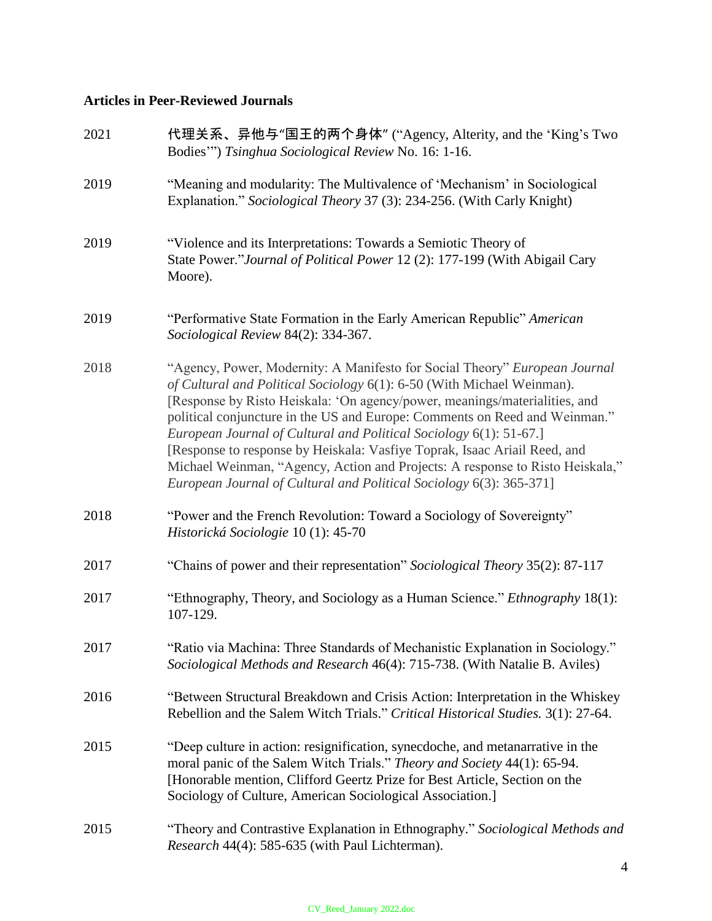# **Articles in Peer-Reviewed Journals**

| 2021 | 代理关系、异他与"国王的两个身体" ("Agency, Alterity, and the 'King's Two<br>Bodies"") Tsinghua Sociological Review No. 16: 1-16.                                                                                                                                                                                                                                                                                                                                                                                                                                                                                                           |
|------|-----------------------------------------------------------------------------------------------------------------------------------------------------------------------------------------------------------------------------------------------------------------------------------------------------------------------------------------------------------------------------------------------------------------------------------------------------------------------------------------------------------------------------------------------------------------------------------------------------------------------------|
| 2019 | "Meaning and modularity: The Multivalence of 'Mechanism' in Sociological<br>Explanation." Sociological Theory 37 (3): 234-256. (With Carly Knight)                                                                                                                                                                                                                                                                                                                                                                                                                                                                          |
| 2019 | "Violence and its Interpretations: Towards a Semiotic Theory of<br>State Power."Journal of Political Power 12 (2): 177-199 (With Abigail Cary<br>Moore).                                                                                                                                                                                                                                                                                                                                                                                                                                                                    |
| 2019 | "Performative State Formation in the Early American Republic" American<br>Sociological Review 84(2): 334-367.                                                                                                                                                                                                                                                                                                                                                                                                                                                                                                               |
| 2018 | "Agency, Power, Modernity: A Manifesto for Social Theory" European Journal<br>of Cultural and Political Sociology 6(1): 6-50 (With Michael Weinman).<br>[Response by Risto Heiskala: 'On agency/power, meanings/materialities, and<br>political conjuncture in the US and Europe: Comments on Reed and Weinman."<br>European Journal of Cultural and Political Sociology 6(1): 51-67.]<br>[Response to response by Heiskala: Vasfiye Toprak, Isaac Ariail Reed, and<br>Michael Weinman, "Agency, Action and Projects: A response to Risto Heiskala,"<br>European Journal of Cultural and Political Sociology 6(3): 365-371] |
| 2018 | "Power and the French Revolution: Toward a Sociology of Sovereignty"<br>Historická Sociologie 10 (1): 45-70                                                                                                                                                                                                                                                                                                                                                                                                                                                                                                                 |
| 2017 | "Chains of power and their representation" Sociological Theory 35(2): 87-117                                                                                                                                                                                                                                                                                                                                                                                                                                                                                                                                                |
| 2017 | "Ethnography, Theory, and Sociology as a Human Science." Ethnography 18(1):<br>107-129.                                                                                                                                                                                                                                                                                                                                                                                                                                                                                                                                     |
| 2017 | "Ratio via Machina: Three Standards of Mechanistic Explanation in Sociology."<br>Sociological Methods and Research 46(4): 715-738. (With Natalie B. Aviles)                                                                                                                                                                                                                                                                                                                                                                                                                                                                 |
| 2016 | "Between Structural Breakdown and Crisis Action: Interpretation in the Whiskey<br>Rebellion and the Salem Witch Trials." Critical Historical Studies. 3(1): 27-64.                                                                                                                                                                                                                                                                                                                                                                                                                                                          |
| 2015 | "Deep culture in action: resignification, synecdoche, and metanarrative in the<br>moral panic of the Salem Witch Trials." Theory and Society 44(1): 65-94.<br>[Honorable mention, Clifford Geertz Prize for Best Article, Section on the<br>Sociology of Culture, American Sociological Association.]                                                                                                                                                                                                                                                                                                                       |
| 2015 | "Theory and Contrastive Explanation in Ethnography." Sociological Methods and<br>Research 44(4): 585-635 (with Paul Lichterman).                                                                                                                                                                                                                                                                                                                                                                                                                                                                                            |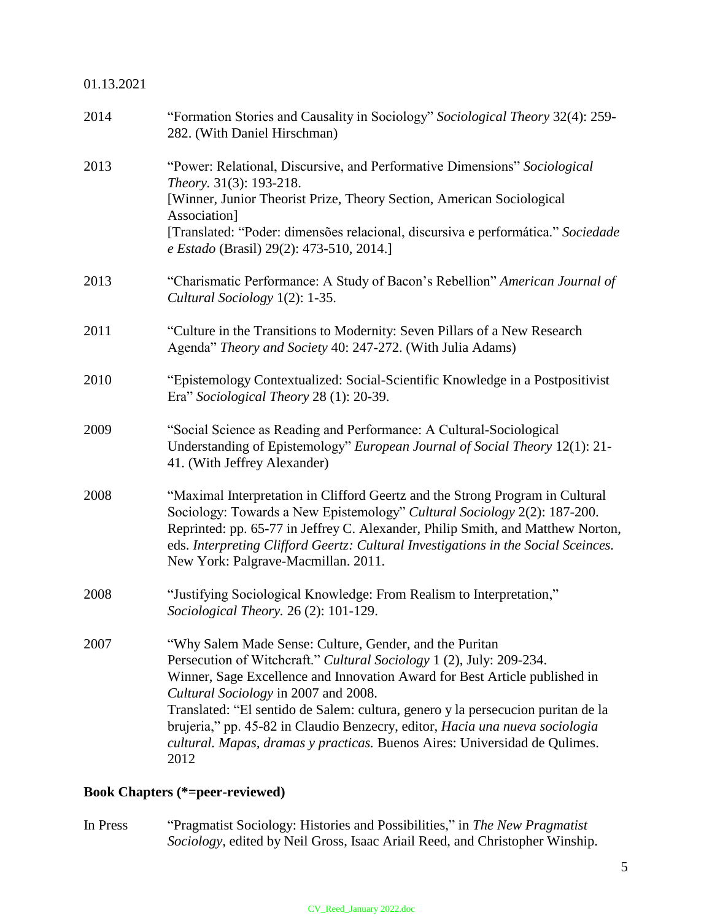## 01.13.2021

| "Formation Stories and Causality in Sociology" Sociological Theory 32(4): 259-<br>282. (With Daniel Hirschman)                                                                                                                                                                                                                                                                                                                                                                                                  |
|-----------------------------------------------------------------------------------------------------------------------------------------------------------------------------------------------------------------------------------------------------------------------------------------------------------------------------------------------------------------------------------------------------------------------------------------------------------------------------------------------------------------|
| "Power: Relational, Discursive, and Performative Dimensions" Sociological<br>Theory. 31(3): 193-218.<br>[Winner, Junior Theorist Prize, Theory Section, American Sociological<br>Association]<br>[Translated: "Poder: dimensões relacional, discursiva e performática." Sociedade<br>e Estado (Brasil) 29(2): 473-510, 2014.]                                                                                                                                                                                   |
| "Charismatic Performance: A Study of Bacon's Rebellion" American Journal of<br>Cultural Sociology 1(2): 1-35.                                                                                                                                                                                                                                                                                                                                                                                                   |
| "Culture in the Transitions to Modernity: Seven Pillars of a New Research<br>Agenda" Theory and Society 40: 247-272. (With Julia Adams)                                                                                                                                                                                                                                                                                                                                                                         |
| "Epistemology Contextualized: Social-Scientific Knowledge in a Postpositivist<br>Era" Sociological Theory 28 (1): 20-39.                                                                                                                                                                                                                                                                                                                                                                                        |
| "Social Science as Reading and Performance: A Cultural-Sociological<br>Understanding of Epistemology" European Journal of Social Theory 12(1): 21-<br>41. (With Jeffrey Alexander)                                                                                                                                                                                                                                                                                                                              |
| "Maximal Interpretation in Clifford Geertz and the Strong Program in Cultural<br>Sociology: Towards a New Epistemology" Cultural Sociology 2(2): 187-200.<br>Reprinted: pp. 65-77 in Jeffrey C. Alexander, Philip Smith, and Matthew Norton,<br>eds. Interpreting Clifford Geertz: Cultural Investigations in the Social Sceinces.<br>New York: Palgrave-Macmillan. 2011.                                                                                                                                       |
| "Justifying Sociological Knowledge: From Realism to Interpretation,"<br><i>Sociological Theory.</i> 26 (2): 101-129.                                                                                                                                                                                                                                                                                                                                                                                            |
| "Why Salem Made Sense: Culture, Gender, and the Puritan<br>Persecution of Witchcraft." Cultural Sociology 1 (2), July: 209-234.<br>Winner, Sage Excellence and Innovation Award for Best Article published in<br>Cultural Sociology in 2007 and 2008.<br>Translated: "El sentido de Salem: cultura, genero y la persecucion puritan de la<br>brujeria," pp. 45-82 in Claudio Benzecry, editor, Hacia una nueva sociologia<br>cultural. Mapas, dramas y practicas. Buenos Aires: Universidad de Qulimes.<br>2012 |
|                                                                                                                                                                                                                                                                                                                                                                                                                                                                                                                 |

# **Book Chapters (\*=peer-reviewed)**

In Press "Pragmatist Sociology: Histories and Possibilities," in *The New Pragmatist Sociology,* edited by Neil Gross, Isaac Ariail Reed, and Christopher Winship.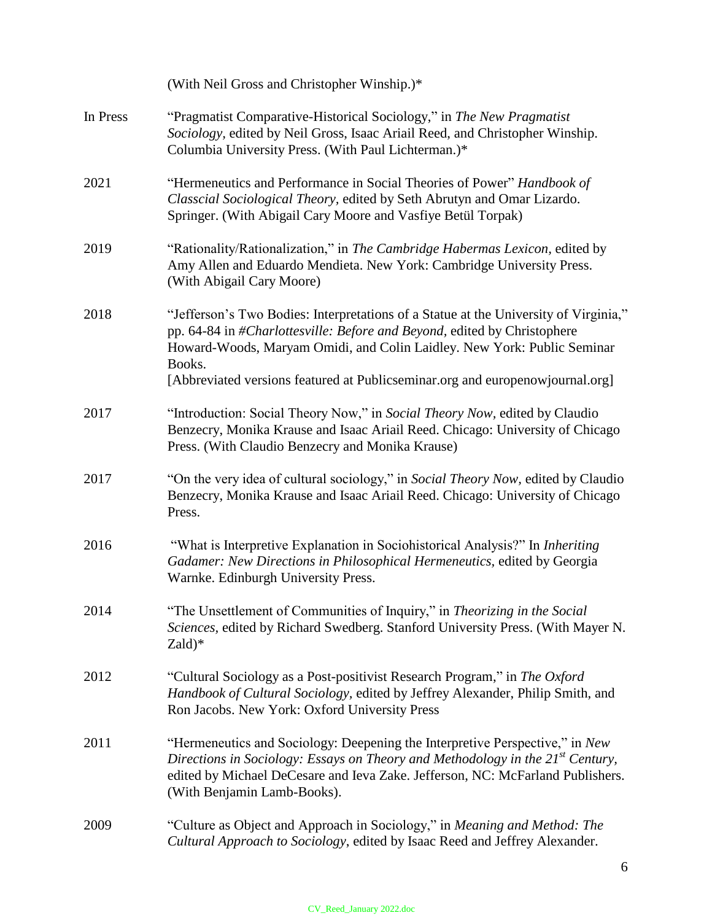|          | (With Neil Gross and Christopher Winship.)*                                                                                                                                                                                                                                                                                            |
|----------|----------------------------------------------------------------------------------------------------------------------------------------------------------------------------------------------------------------------------------------------------------------------------------------------------------------------------------------|
| In Press | "Pragmatist Comparative-Historical Sociology," in The New Pragmatist<br>Sociology, edited by Neil Gross, Isaac Ariail Reed, and Christopher Winship.<br>Columbia University Press. (With Paul Lichterman.)*                                                                                                                            |
| 2021     | "Hermeneutics and Performance in Social Theories of Power" Handbook of<br>Classcial Sociological Theory, edited by Seth Abrutyn and Omar Lizardo.<br>Springer. (With Abigail Cary Moore and Vasfiye Betül Torpak)                                                                                                                      |
| 2019     | "Rationality/Rationalization," in The Cambridge Habermas Lexicon, edited by<br>Amy Allen and Eduardo Mendieta. New York: Cambridge University Press.<br>(With Abigail Cary Moore)                                                                                                                                                      |
| 2018     | "Jefferson's Two Bodies: Interpretations of a Statue at the University of Virginia,"<br>pp. 64-84 in #Charlottesville: Before and Beyond, edited by Christophere<br>Howard-Woods, Maryam Omidi, and Colin Laidley. New York: Public Seminar<br>Books.<br>[Abbreviated versions featured at Publicseminar.org and europenowjournal.org] |
| 2017     | "Introduction: Social Theory Now," in Social Theory Now, edited by Claudio<br>Benzecry, Monika Krause and Isaac Ariail Reed. Chicago: University of Chicago<br>Press. (With Claudio Benzecry and Monika Krause)                                                                                                                        |
| 2017     | "On the very idea of cultural sociology," in Social Theory Now, edited by Claudio<br>Benzecry, Monika Krause and Isaac Ariail Reed. Chicago: University of Chicago<br>Press.                                                                                                                                                           |
| 2016     | "What is Interpretive Explanation in Sociohistorical Analysis?" In Inheriting<br>Gadamer: New Directions in Philosophical Hermeneutics, edited by Georgia<br>Warnke. Edinburgh University Press.                                                                                                                                       |
| 2014     | "The Unsettlement of Communities of Inquiry," in Theorizing in the Social<br>Sciences, edited by Richard Swedberg. Stanford University Press. (With Mayer N.<br>$Zald)*$                                                                                                                                                               |
| 2012     | "Cultural Sociology as a Post-positivist Research Program," in The Oxford<br>Handbook of Cultural Sociology, edited by Jeffrey Alexander, Philip Smith, and<br>Ron Jacobs. New York: Oxford University Press                                                                                                                           |
| 2011     | "Hermeneutics and Sociology: Deepening the Interpretive Perspective," in New<br>Directions in Sociology: Essays on Theory and Methodology in the $21^{st}$ Century,<br>edited by Michael DeCesare and Ieva Zake. Jefferson, NC: McFarland Publishers.<br>(With Benjamin Lamb-Books).                                                   |
| 2009     | "Culture as Object and Approach in Sociology," in Meaning and Method: The<br>Cultural Approach to Sociology, edited by Isaac Reed and Jeffrey Alexander.                                                                                                                                                                               |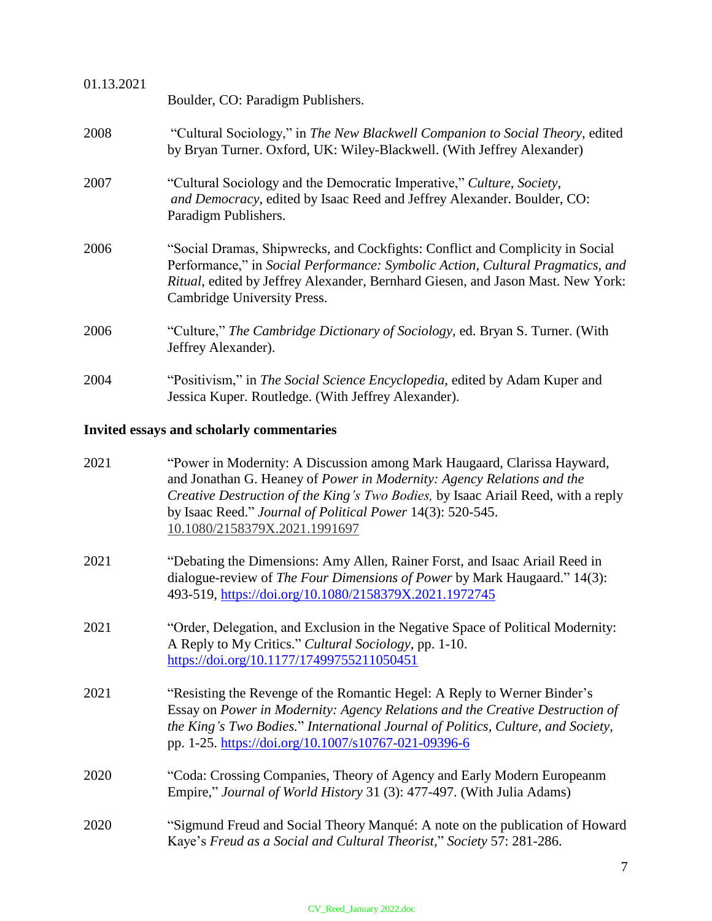| 01.13.2021                                       |                                                                                                                                                                                                                                                                                   |
|--------------------------------------------------|-----------------------------------------------------------------------------------------------------------------------------------------------------------------------------------------------------------------------------------------------------------------------------------|
|                                                  | Boulder, CO: Paradigm Publishers.                                                                                                                                                                                                                                                 |
| 2008                                             | "Cultural Sociology," in The New Blackwell Companion to Social Theory, edited<br>by Bryan Turner. Oxford, UK: Wiley-Blackwell. (With Jeffrey Alexander)                                                                                                                           |
| 2007                                             | "Cultural Sociology and the Democratic Imperative," Culture, Society,<br>and Democracy, edited by Isaac Reed and Jeffrey Alexander. Boulder, CO:<br>Paradigm Publishers.                                                                                                          |
| 2006                                             | "Social Dramas, Shipwrecks, and Cockfights: Conflict and Complicity in Social<br>Performance," in Social Performance: Symbolic Action, Cultural Pragmatics, and<br>Ritual, edited by Jeffrey Alexander, Bernhard Giesen, and Jason Mast. New York:<br>Cambridge University Press. |
| 2006                                             | "Culture," The Cambridge Dictionary of Sociology, ed. Bryan S. Turner. (With<br>Jeffrey Alexander).                                                                                                                                                                               |
| 2004                                             | "Positivism," in The Social Science Encyclopedia, edited by Adam Kuper and<br>Jessica Kuper. Routledge. (With Jeffrey Alexander).                                                                                                                                                 |
| <b>Invited essays and scholarly commentaries</b> |                                                                                                                                                                                                                                                                                   |

| 2021 | "Power in Modernity: A Discussion among Mark Haugaard, Clarissa Hayward,<br>and Jonathan G. Heaney of Power in Modernity: Agency Relations and the<br>Creative Destruction of the King's Two Bodies, by Isaac Ariail Reed, with a reply<br>by Isaac Reed." Journal of Political Power 14(3): 520-545.<br>10.1080/2158379X.2021.1991697 |
|------|----------------------------------------------------------------------------------------------------------------------------------------------------------------------------------------------------------------------------------------------------------------------------------------------------------------------------------------|
| 2021 | "Debating the Dimensions: Amy Allen, Rainer Forst, and Isaac Ariail Reed in<br>dialogue-review of The Four Dimensions of Power by Mark Haugaard." 14(3):<br>493-519, https://doi.org/10.1080/2158379X.2021.1972745                                                                                                                     |
| 2021 | "Order, Delegation, and Exclusion in the Negative Space of Political Modernity:<br>A Reply to My Critics." Cultural Sociology, pp. 1-10.<br>https://doi.org/10.1177/17499755211050451                                                                                                                                                  |
| 2021 | "Resisting the Revenge of the Romantic Hegel: A Reply to Werner Binder's<br>Essay on Power in Modernity: Agency Relations and the Creative Destruction of<br>the King's Two Bodies." International Journal of Politics, Culture, and Society,<br>pp. 1-25. https://doi.org/10.1007/s10767-021-09396-6                                  |
| 2020 | "Coda: Crossing Companies, Theory of Agency and Early Modern Europeanm<br>Empire," Journal of World History 31 (3): 477-497. (With Julia Adams)                                                                                                                                                                                        |
| 2020 | "Sigmund Freud and Social Theory Manqué: A note on the publication of Howard<br>Kaye's Freud as a Social and Cultural Theorist," Society 57: 281-286.                                                                                                                                                                                  |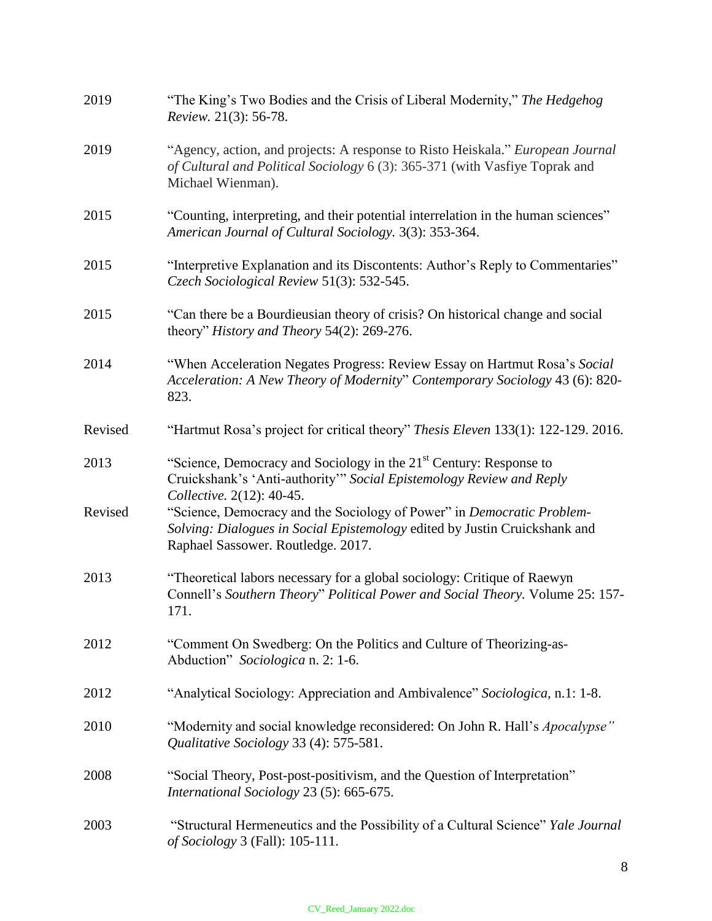| 2019    | "The King's Two Bodies and the Crisis of Liberal Modernity," The Hedgehog<br>Review. 21(3): 56-78.                                                                                         |
|---------|--------------------------------------------------------------------------------------------------------------------------------------------------------------------------------------------|
| 2019    | "Agency, action, and projects: A response to Risto Heiskala." European Journal<br>of Cultural and Political Sociology 6 (3): 365-371 (with Vasfiye Toprak and<br>Michael Wienman).         |
| 2015    | "Counting, interpreting, and their potential interrelation in the human sciences"<br>American Journal of Cultural Sociology. 3(3): 353-364.                                                |
| 2015    | "Interpretive Explanation and its Discontents: Author's Reply to Commentaries"<br>Czech Sociological Review 51(3): 532-545.                                                                |
| 2015    | "Can there be a Bourdieusian theory of crisis? On historical change and social<br>theory" History and Theory 54(2): 269-276.                                                               |
| 2014    | "When Acceleration Negates Progress: Review Essay on Hartmut Rosa's Social<br>Acceleration: A New Theory of Modernity" Contemporary Sociology 43 (6): 820-<br>823.                         |
| Revised | "Hartmut Rosa's project for critical theory" Thesis Eleven 133(1): 122-129. 2016.                                                                                                          |
| 2013    | "Science, Democracy and Sociology in the 21 <sup>st</sup> Century: Response to<br>Cruickshank's 'Anti-authority'" Social Epistemology Review and Reply<br>Collective. 2(12): 40-45.        |
| Revised | "Science, Democracy and the Sociology of Power" in Democratic Problem-<br>Solving: Dialogues in Social Epistemology edited by Justin Cruickshank and<br>Raphael Sassower. Routledge. 2017. |
| 2013    | "Theoretical labors necessary for a global sociology: Critique of Raewyn<br>Connell's Southern Theory" Political Power and Social Theory. Volume 25: 157-<br>171                           |
| 2012    | "Comment On Swedberg: On the Politics and Culture of Theorizing-as-<br>Abduction" Sociologica n. 2: 1-6.                                                                                   |
| 2012    | "Analytical Sociology: Appreciation and Ambivalence" Sociologica, n.1: 1-8.                                                                                                                |
| 2010    | "Modernity and social knowledge reconsidered: On John R. Hall's <i>Apocalypse</i> "<br>Qualitative Sociology 33 (4): 575-581.                                                              |
| 2008    | "Social Theory, Post-post-positivism, and the Question of Interpretation"<br>International Sociology 23 (5): 665-675.                                                                      |
| 2003    | "Structural Hermeneutics and the Possibility of a Cultural Science" Yale Journal<br>of Sociology 3 (Fall): 105-111.                                                                        |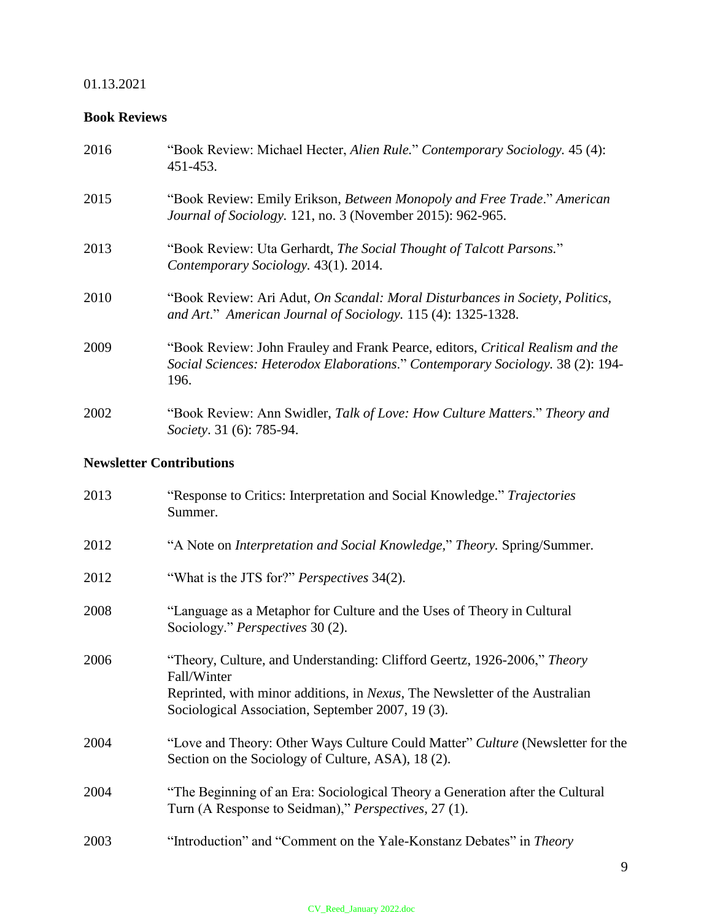## 01.13.2021

# **Book Reviews**

| 2016 | "Book Review: Michael Hecter, Alien Rule." Contemporary Sociology. 45 (4):<br>451-453.                                                                                   |
|------|--------------------------------------------------------------------------------------------------------------------------------------------------------------------------|
| 2015 | "Book Review: Emily Erikson, <i>Between Monopoly and Free Trade." American</i><br>Journal of Sociology. 121, no. 3 (November 2015): 962-965.                             |
| 2013 | "Book Review: Uta Gerhardt, The Social Thought of Talcott Parsons."<br>Contemporary Sociology. 43(1). 2014.                                                              |
| 2010 | "Book Review: Ari Adut, On Scandal: Moral Disturbances in Society, Politics,<br>and Art." American Journal of Sociology. 115 (4): 1325-1328.                             |
| 2009 | "Book Review: John Frauley and Frank Pearce, editors, Critical Realism and the<br>Social Sciences: Heterodox Elaborations." Contemporary Sociology. 38 (2): 194-<br>196. |
| 2002 | "Book Review: Ann Swidler, Talk of Love: How Culture Matters." Theory and<br>Society. 31 (6): 785-94.                                                                    |

# **Newsletter Contributions**

| 2013 | "Response to Critics: Interpretation and Social Knowledge." Trajectories<br>Summer.                                                                                                                                        |
|------|----------------------------------------------------------------------------------------------------------------------------------------------------------------------------------------------------------------------------|
| 2012 | "A Note on <i>Interpretation and Social Knowledge</i> ," <i>Theory</i> . Spring/Summer.                                                                                                                                    |
| 2012 | "What is the JTS for?" <i>Perspectives</i> 34(2).                                                                                                                                                                          |
| 2008 | "Language as a Metaphor for Culture and the Uses of Theory in Cultural<br>Sociology." <i>Perspectives</i> 30 (2).                                                                                                          |
| 2006 | "Theory, Culture, and Understanding: Clifford Geertz, 1926-2006," Theory<br>Fall/Winter<br>Reprinted, with minor additions, in Nexus, The Newsletter of the Australian<br>Sociological Association, September 2007, 19(3). |
| 2004 | "Love and Theory: Other Ways Culture Could Matter" Culture (Newsletter for the<br>Section on the Sociology of Culture, ASA), 18 (2).                                                                                       |
| 2004 | "The Beginning of an Era: Sociological Theory a Generation after the Cultural<br>Turn (A Response to Seidman)," <i>Perspectives</i> , 27(1).                                                                               |
| 2003 | "Introduction" and "Comment on the Yale-Konstanz Debates" in Theory                                                                                                                                                        |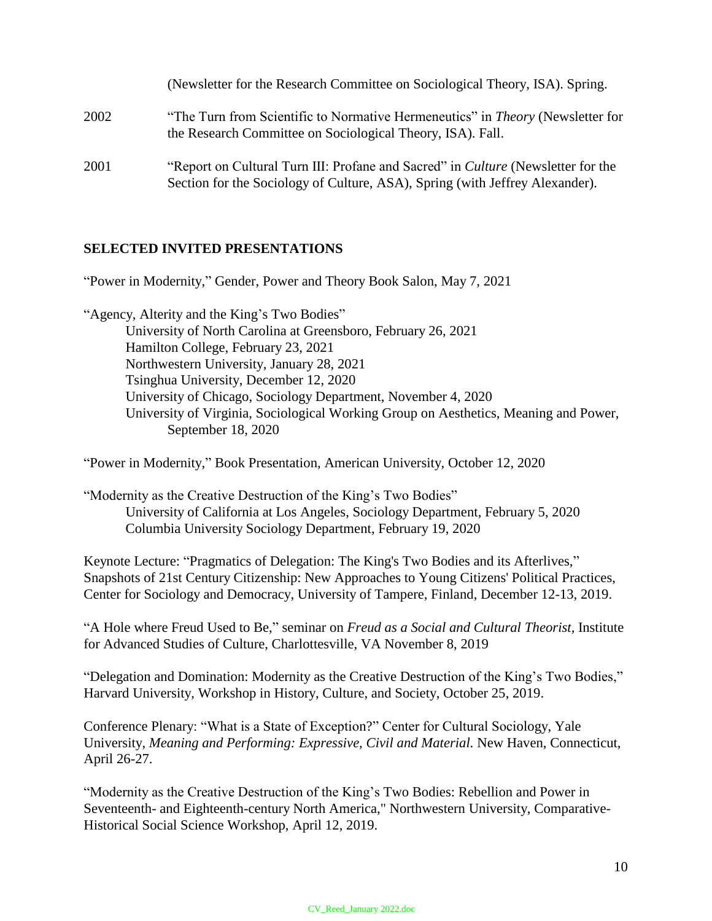|      | (Newsletter for the Research Committee on Sociological Theory, ISA). Spring.                                                                                            |
|------|-------------------------------------------------------------------------------------------------------------------------------------------------------------------------|
| 2002 | "The Turn from Scientific to Normative Hermeneutics" in <i>Theory</i> (Newsletter for<br>the Research Committee on Sociological Theory, ISA). Fall.                     |
| 2001 | "Report on Cultural Turn III: Profane and Sacred" in <i>Culture</i> (Newsletter for the<br>Section for the Sociology of Culture, ASA), Spring (with Jeffrey Alexander). |

## **SELECTED INVITED PRESENTATIONS**

"Power in Modernity," Gender, Power and Theory Book Salon, May 7, 2021

"Agency, Alterity and the King's Two Bodies" University of North Carolina at Greensboro, February 26, 2021 Hamilton College, February 23, 2021 Northwestern University, January 28, 2021 Tsinghua University, December 12, 2020 University of Chicago, Sociology Department, November 4, 2020 University of Virginia, Sociological Working Group on Aesthetics, Meaning and Power, September 18, 2020

"Power in Modernity," Book Presentation, American University, October 12, 2020

"Modernity as the Creative Destruction of the King's Two Bodies" University of California at Los Angeles, Sociology Department, February 5, 2020 Columbia University Sociology Department, February 19, 2020

Keynote Lecture: "Pragmatics of Delegation: The King's Two Bodies and its Afterlives," Snapshots of 21st Century Citizenship: New Approaches to Young Citizens' Political Practices, Center for Sociology and Democracy, University of Tampere, Finland, December 12-13, 2019.

"A Hole where Freud Used to Be," seminar on *Freud as a Social and Cultural Theorist,* Institute for Advanced Studies of Culture, Charlottesville, VA November 8, 2019

"Delegation and Domination: Modernity as the Creative Destruction of the King's Two Bodies," Harvard University, Workshop in History, Culture, and Society, October 25, 2019.

Conference Plenary: "What is a State of Exception?" Center for Cultural Sociology, Yale University, *Meaning and Performing: Expressive, Civil and Material.* New Haven, Connecticut, April 26-27.

"Modernity as the Creative Destruction of the King's Two Bodies: Rebellion and Power in Seventeenth- and Eighteenth-century North America," Northwestern University, Comparative-Historical Social Science Workshop, April 12, 2019.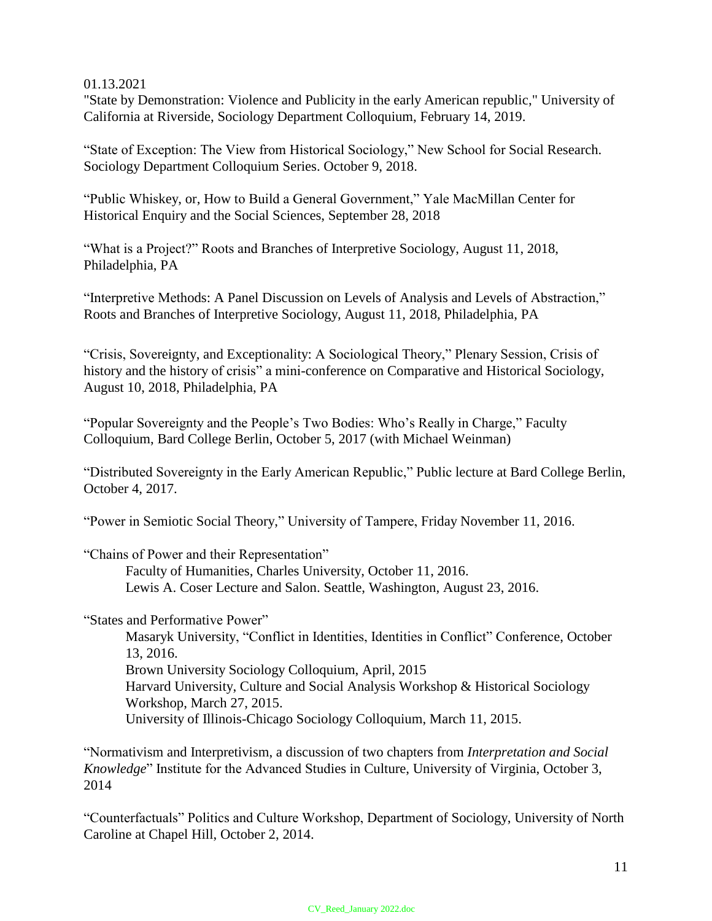## 01.13.2021

"State by Demonstration: Violence and Publicity in the early American republic," University of California at Riverside, Sociology Department Colloquium, February 14, 2019.

"State of Exception: The View from Historical Sociology," New School for Social Research. Sociology Department Colloquium Series. October 9, 2018.

"Public Whiskey, or, How to Build a General Government," Yale MacMillan Center for Historical Enquiry and the Social Sciences, September 28, 2018

"What is a Project?" Roots and Branches of Interpretive Sociology, August 11, 2018, Philadelphia, PA

"Interpretive Methods: A Panel Discussion on Levels of Analysis and Levels of Abstraction," Roots and Branches of Interpretive Sociology, August 11, 2018, Philadelphia, PA

"Crisis, Sovereignty, and Exceptionality: A Sociological Theory," Plenary Session, Crisis of history and the history of crisis" a mini-conference on Comparative and Historical Sociology, August 10, 2018, Philadelphia, PA

"Popular Sovereignty and the People's Two Bodies: Who's Really in Charge," Faculty Colloquium, Bard College Berlin, October 5, 2017 (with Michael Weinman)

"Distributed Sovereignty in the Early American Republic," Public lecture at Bard College Berlin, October 4, 2017.

"Power in Semiotic Social Theory," University of Tampere, Friday November 11, 2016.

"Chains of Power and their Representation"

Faculty of Humanities, Charles University, October 11, 2016. Lewis A. Coser Lecture and Salon. Seattle, Washington, August 23, 2016.

"States and Performative Power"

Masaryk University, "Conflict in Identities, Identities in Conflict" Conference, October 13, 2016.

Brown University Sociology Colloquium, April, 2015

Harvard University, Culture and Social Analysis Workshop & Historical Sociology Workshop, March 27, 2015.

University of Illinois-Chicago Sociology Colloquium, March 11, 2015.

"Normativism and Interpretivism, a discussion of two chapters from *Interpretation and Social Knowledge*" Institute for the Advanced Studies in Culture, University of Virginia, October 3, 2014

"Counterfactuals" Politics and Culture Workshop, Department of Sociology, University of North Caroline at Chapel Hill, October 2, 2014.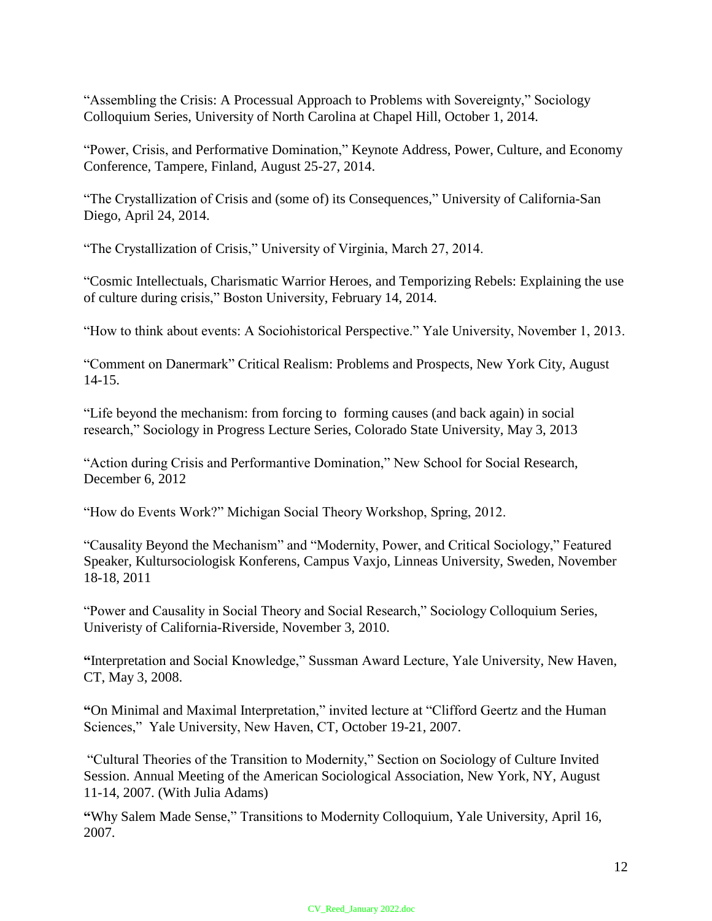"Assembling the Crisis: A Processual Approach to Problems with Sovereignty," Sociology Colloquium Series, University of North Carolina at Chapel Hill, October 1, 2014.

"Power, Crisis, and Performative Domination," Keynote Address, Power, Culture, and Economy Conference, Tampere, Finland, August 25-27, 2014.

"The Crystallization of Crisis and (some of) its Consequences," University of California-San Diego, April 24, 2014.

"The Crystallization of Crisis," University of Virginia, March 27, 2014.

"Cosmic Intellectuals, Charismatic Warrior Heroes, and Temporizing Rebels: Explaining the use of culture during crisis," Boston University, February 14, 2014.

"How to think about events: A Sociohistorical Perspective." Yale University, November 1, 2013.

"Comment on Danermark" Critical Realism: Problems and Prospects, New York City, August 14-15.

"Life beyond the mechanism: from forcing to forming causes (and back again) in social research," Sociology in Progress Lecture Series, Colorado State University, May 3, 2013

"Action during Crisis and Performantive Domination," New School for Social Research, December 6, 2012

"How do Events Work?" Michigan Social Theory Workshop, Spring, 2012.

"Causality Beyond the Mechanism" and "Modernity, Power, and Critical Sociology," Featured Speaker, Kultursociologisk Konferens, Campus Vaxjo, Linneas University, Sweden, November 18-18, 2011

"Power and Causality in Social Theory and Social Research," Sociology Colloquium Series, Univeristy of California-Riverside, November 3, 2010.

**"**Interpretation and Social Knowledge," Sussman Award Lecture, Yale University, New Haven, CT, May 3, 2008.

**"**On Minimal and Maximal Interpretation," invited lecture at "Clifford Geertz and the Human Sciences," Yale University, New Haven, CT, October 19-21, 2007.

"Cultural Theories of the Transition to Modernity," Section on Sociology of Culture Invited Session. Annual Meeting of the American Sociological Association, New York, NY, August 11-14, 2007. (With Julia Adams)

**"**Why Salem Made Sense," Transitions to Modernity Colloquium, Yale University, April 16, 2007.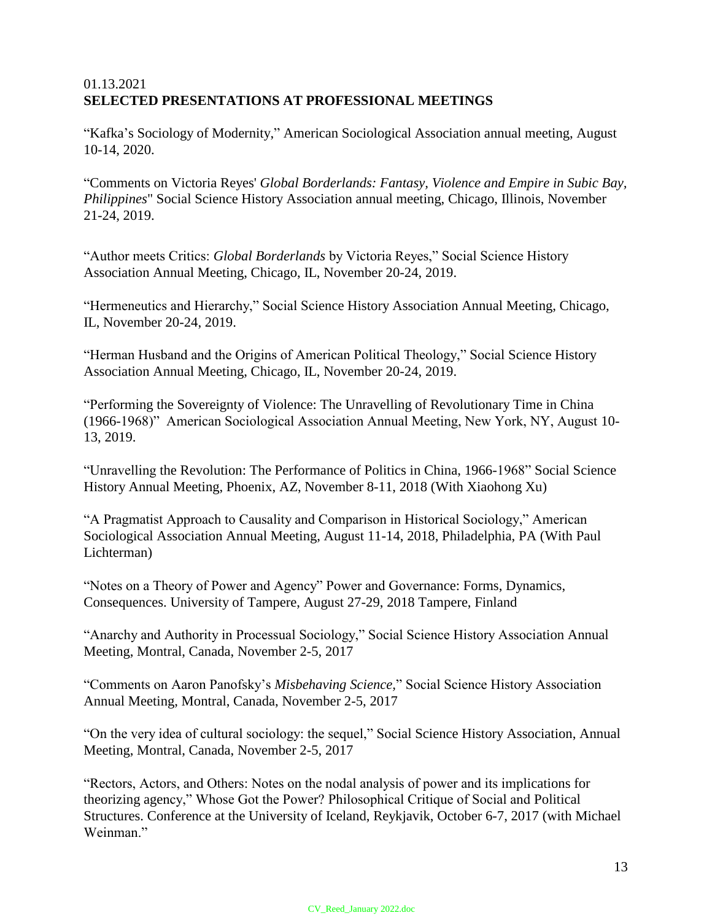# 01.13.2021 **SELECTED PRESENTATIONS AT PROFESSIONAL MEETINGS**

"Kafka's Sociology of Modernity," American Sociological Association annual meeting, August 10-14, 2020.

"Comments on Victoria Reyes' *Global Borderlands: Fantasy, Violence and Empire in Subic Bay, Philippines*" Social Science History Association annual meeting, Chicago, Illinois, November 21-24, 2019.

"Author meets Critics: *Global Borderlands* by Victoria Reyes," Social Science History Association Annual Meeting, Chicago, IL, November 20-24, 2019.

"Hermeneutics and Hierarchy," Social Science History Association Annual Meeting, Chicago, IL, November 20-24, 2019.

"Herman Husband and the Origins of American Political Theology," Social Science History Association Annual Meeting, Chicago, IL, November 20-24, 2019.

"Performing the Sovereignty of Violence: The Unravelling of Revolutionary Time in China (1966-1968)" American Sociological Association Annual Meeting, New York, NY, August 10- 13, 2019.

"Unravelling the Revolution: The Performance of Politics in China, 1966-1968" Social Science History Annual Meeting, Phoenix, AZ, November 8-11, 2018 (With Xiaohong Xu)

"A Pragmatist Approach to Causality and Comparison in Historical Sociology," American Sociological Association Annual Meeting, August 11-14, 2018, Philadelphia, PA (With Paul Lichterman)

"Notes on a Theory of Power and Agency" Power and Governance: Forms, Dynamics, Consequences. University of Tampere, August 27-29, 2018 Tampere, Finland

"Anarchy and Authority in Processual Sociology," Social Science History Association Annual Meeting, Montral, Canada, November 2-5, 2017

"Comments on Aaron Panofsky's *Misbehaving Science,*" Social Science History Association Annual Meeting, Montral, Canada, November 2-5, 2017

"On the very idea of cultural sociology: the sequel," Social Science History Association, Annual Meeting, Montral, Canada, November 2-5, 2017

"Rectors, Actors, and Others: Notes on the nodal analysis of power and its implications for theorizing agency," Whose Got the Power? Philosophical Critique of Social and Political Structures. Conference at the University of Iceland, Reykjavik, October 6-7, 2017 (with Michael Weinman<sup>"</sup>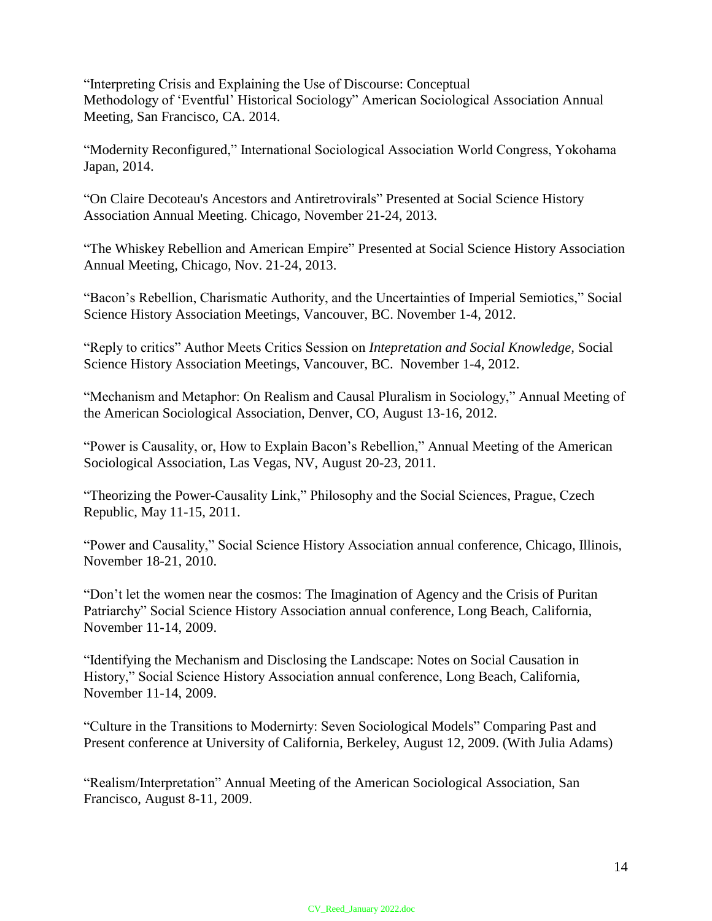"Interpreting Crisis and Explaining the Use of Discourse: Conceptual Methodology of 'Eventful' Historical Sociology" American Sociological Association Annual Meeting, San Francisco, CA. 2014.

"Modernity Reconfigured," International Sociological Association World Congress, Yokohama Japan, 2014.

"On Claire Decoteau's Ancestors and Antiretrovirals" Presented at Social Science History Association Annual Meeting. Chicago, November 21-24, 2013.

"The Whiskey Rebellion and American Empire" Presented at Social Science History Association Annual Meeting, Chicago, Nov. 21-24, 2013.

"Bacon's Rebellion, Charismatic Authority, and the Uncertainties of Imperial Semiotics," Social Science History Association Meetings, Vancouver, BC. November 1-4, 2012.

"Reply to critics" Author Meets Critics Session on *Intepretation and Social Knowledge,* Social Science History Association Meetings, Vancouver, BC. November 1-4, 2012.

"Mechanism and Metaphor: On Realism and Causal Pluralism in Sociology," Annual Meeting of the American Sociological Association, Denver, CO, August 13-16, 2012.

"Power is Causality, or, How to Explain Bacon's Rebellion," Annual Meeting of the American Sociological Association, Las Vegas, NV, August 20-23, 2011.

"Theorizing the Power-Causality Link," Philosophy and the Social Sciences, Prague, Czech Republic, May 11-15, 2011.

"Power and Causality," Social Science History Association annual conference, Chicago, Illinois, November 18-21, 2010.

"Don't let the women near the cosmos: The Imagination of Agency and the Crisis of Puritan Patriarchy" Social Science History Association annual conference, Long Beach, California, November 11-14, 2009.

"Identifying the Mechanism and Disclosing the Landscape: Notes on Social Causation in History," Social Science History Association annual conference, Long Beach, California, November 11-14, 2009.

"Culture in the Transitions to Modernirty: Seven Sociological Models" Comparing Past and Present conference at University of California, Berkeley, August 12, 2009. (With Julia Adams)

"Realism/Interpretation" Annual Meeting of the American Sociological Association, San Francisco, August 8-11, 2009.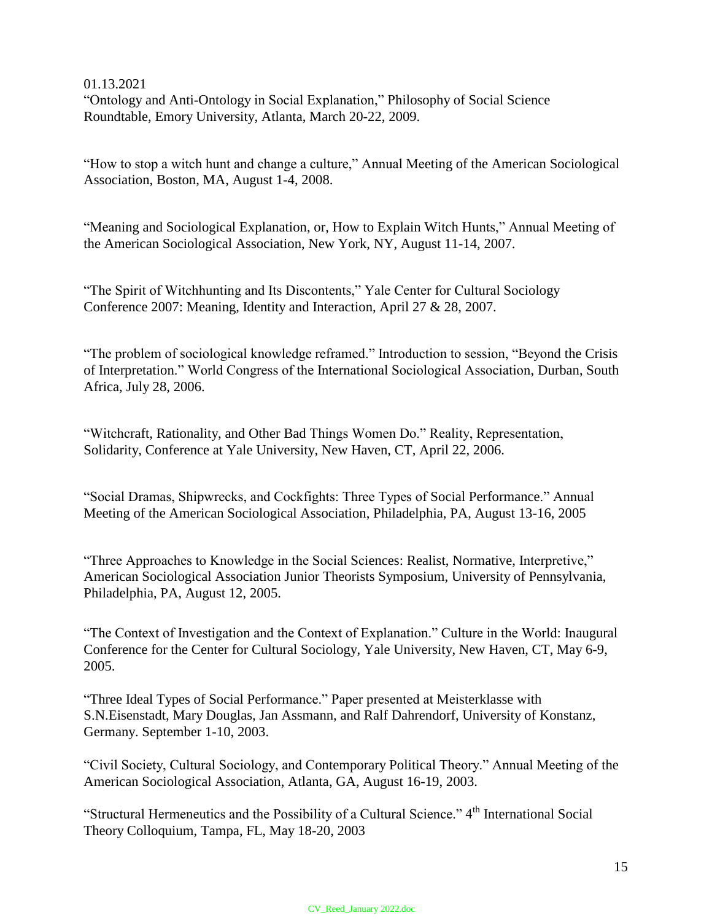01.13.2021 "Ontology and Anti-Ontology in Social Explanation," Philosophy of Social Science Roundtable, Emory University, Atlanta, March 20-22, 2009.

"How to stop a witch hunt and change a culture," Annual Meeting of the American Sociological Association, Boston, MA, August 1-4, 2008.

"Meaning and Sociological Explanation, or, How to Explain Witch Hunts," Annual Meeting of the American Sociological Association, New York, NY, August 11-14, 2007.

"The Spirit of Witchhunting and Its Discontents," Yale Center for Cultural Sociology Conference 2007: Meaning, Identity and Interaction, April 27 & 28, 2007.

"The problem of sociological knowledge reframed." Introduction to session, "Beyond the Crisis of Interpretation." World Congress of the International Sociological Association, Durban, South Africa, July 28, 2006.

"Witchcraft, Rationality, and Other Bad Things Women Do." Reality, Representation, Solidarity, Conference at Yale University, New Haven, CT, April 22, 2006.

"Social Dramas, Shipwrecks, and Cockfights: Three Types of Social Performance." Annual Meeting of the American Sociological Association, Philadelphia, PA, August 13-16, 2005

"Three Approaches to Knowledge in the Social Sciences: Realist, Normative, Interpretive," American Sociological Association Junior Theorists Symposium, University of Pennsylvania, Philadelphia, PA, August 12, 2005.

"The Context of Investigation and the Context of Explanation." Culture in the World: Inaugural Conference for the Center for Cultural Sociology, Yale University, New Haven, CT, May 6-9, 2005.

"Three Ideal Types of Social Performance." Paper presented at Meisterklasse with S.N.Eisenstadt, Mary Douglas, Jan Assmann, and Ralf Dahrendorf, University of Konstanz, Germany. September 1-10, 2003.

"Civil Society, Cultural Sociology, and Contemporary Political Theory." Annual Meeting of the American Sociological Association, Atlanta, GA, August 16-19, 2003.

"Structural Hermeneutics and the Possibility of a Cultural Science."  $4<sup>th</sup>$  International Social Theory Colloquium, Tampa, FL, May 18-20, 2003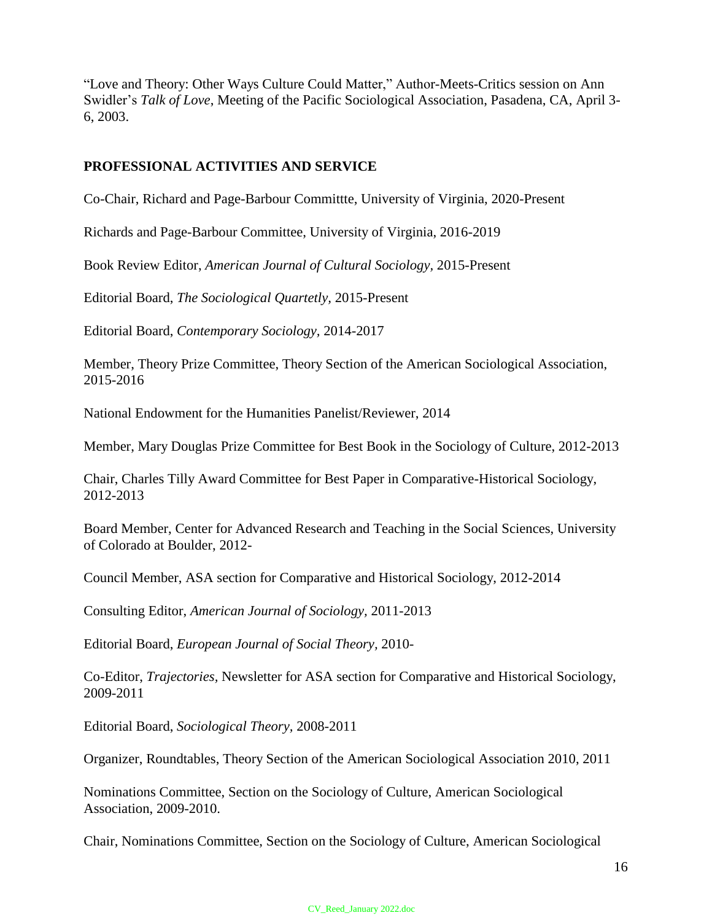"Love and Theory: Other Ways Culture Could Matter," Author-Meets-Critics session on Ann Swidler's *Talk of Love*, Meeting of the Pacific Sociological Association, Pasadena, CA, April 3- 6, 2003.

## **PROFESSIONAL ACTIVITIES AND SERVICE**

Co-Chair, Richard and Page-Barbour Committte, University of Virginia, 2020-Present

Richards and Page-Barbour Committee, University of Virginia, 2016-2019

Book Review Editor, *American Journal of Cultural Sociology,* 2015-Present

Editorial Board, *The Sociological Quartetly,* 2015-Present

Editorial Board, *Contemporary Sociology,* 2014-2017

Member, Theory Prize Committee, Theory Section of the American Sociological Association, 2015-2016

National Endowment for the Humanities Panelist/Reviewer, 2014

Member, Mary Douglas Prize Committee for Best Book in the Sociology of Culture, 2012-2013

Chair, Charles Tilly Award Committee for Best Paper in Comparative-Historical Sociology, 2012-2013

Board Member, Center for Advanced Research and Teaching in the Social Sciences, University of Colorado at Boulder, 2012-

Council Member, ASA section for Comparative and Historical Sociology, 2012-2014

Consulting Editor, *American Journal of Sociology,* 2011-2013

Editorial Board, *European Journal of Social Theory,* 2010-

Co-Editor, *Trajectories,* Newsletter for ASA section for Comparative and Historical Sociology, 2009-2011

Editorial Board, *Sociological Theory,* 2008-2011

Organizer, Roundtables, Theory Section of the American Sociological Association 2010, 2011

Nominations Committee, Section on the Sociology of Culture, American Sociological Association, 2009-2010.

Chair, Nominations Committee, Section on the Sociology of Culture, American Sociological